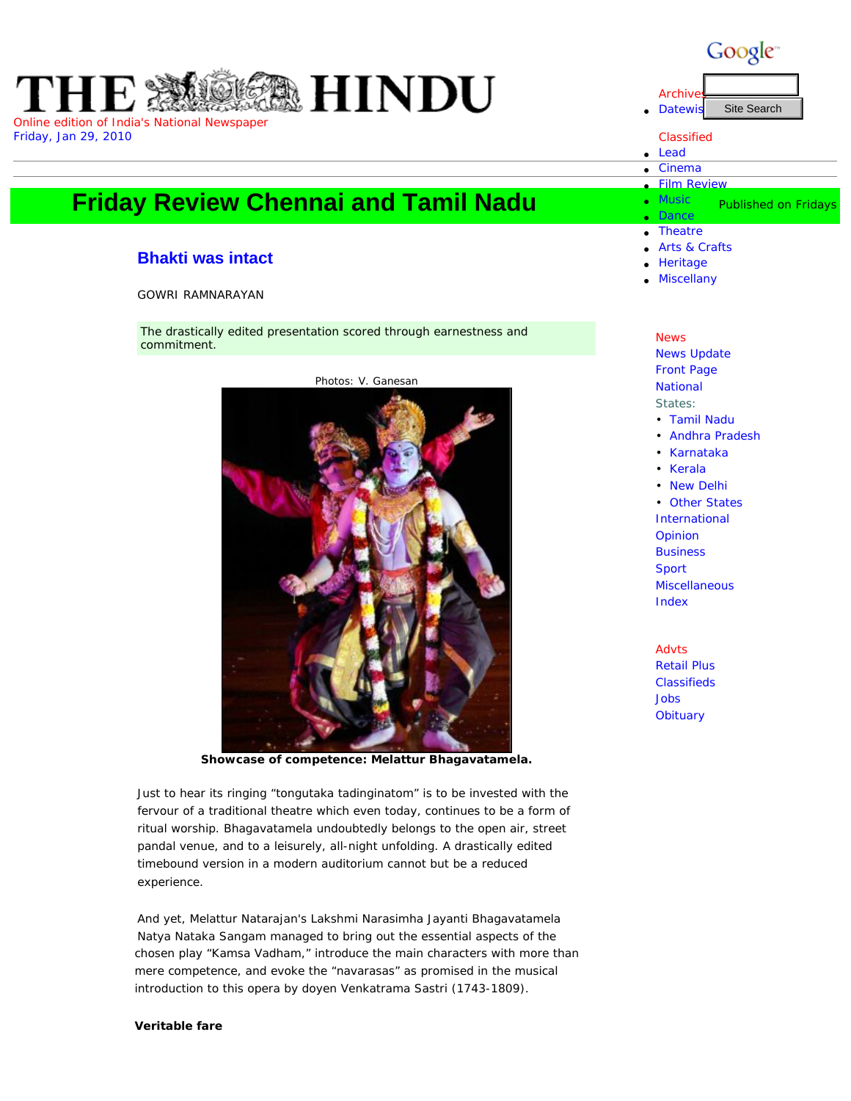

## **Friday Re[view C](http://www.hinduonnet.com/thehindu/mag/index.htm)[hennai](http://www.hinduonnet.com/thehindu/lr/index.htm) [and](http://www.hinduonnet.com/thehindu/lf/index.htm) [Tami](http://www.hinduonnet.com/thehindu/mp/index.htm)l [Nadu](http://www.hinduonnet.com/thehindu/op/index.htm)**

## **[Bhakti was](http://www.hinduonnet.com/fr/2010/01/29/index.htm) i[ntact](http://www.hinduonnet.com/fr/2010/01/29/bangindx.htm)**

## GOWRI RAMNARAYAN

The drastically edited presentation scored through earnestness and commitment.



**Showcase of competence: Melattur Bhagavatamela.** 

Just to hear its ringing "tongutaka tadinginatom" is to be invested with the fervour of a traditional theatre which even today, continues to be a form of ritual worship. Bhagavatamela undoubtedly belongs to the open air, street pandal venue, and to a leisurely, all-night unfolding. A drastically edited timebound version in a modern auditorium cannot but be a reduced

experience.

And yet, Melattur Natarajan's Lakshmi Narasimha Jayanti Bhagavatamela Natya Nataka Sangam managed to bring out the essential aspects of the chosen play "Kamsa Vadham," introduce the main characters with more than mere competence, and evoke the "navarasas" as promised in the musical introduction to this opera by doyen Venkatrama Sastri (1743-1809).

## **Veritable fare**